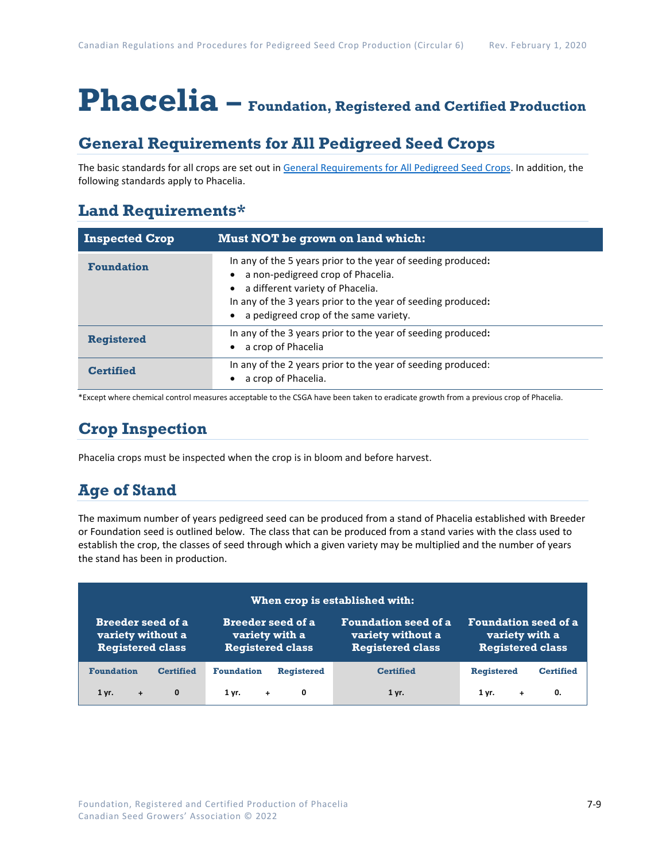# **Phacelia – Foundation, Registered and Certified Production**

## **General Requirements for All Pedigreed Seed Crops**

The basic standards for all crops are set out i[n General Requirements for All Pedigreed Seed](https://seedgrowers.ca/wp-content/uploads/2020/01/GENERAL-REQUIREMENTS-ALL-CROPS_EN.pdf) Crops. In addition, the following standards apply to Phacelia.

## **Land Requirements\***

| <b>Inspected Crop</b> | Must NOT be grown on land which:                                                                                                                                                                                                               |  |
|-----------------------|------------------------------------------------------------------------------------------------------------------------------------------------------------------------------------------------------------------------------------------------|--|
| <b>Foundation</b>     | In any of the 5 years prior to the year of seeding produced:<br>a non-pedigreed crop of Phacelia.<br>a different variety of Phacelia.<br>In any of the 3 years prior to the year of seeding produced:<br>a pedigreed crop of the same variety. |  |
| <b>Registered</b>     | In any of the 3 years prior to the year of seeding produced:<br>a crop of Phacelia                                                                                                                                                             |  |
| <b>Certified</b>      | In any of the 2 years prior to the year of seeding produced:<br>a crop of Phacelia.                                                                                                                                                            |  |

\*Except where chemical control measures acceptable to the CSGA have been taken to eradicate growth from a previous crop of Phacelia.

# **Crop Inspection**

Phacelia crops must be inspected when the crop is in bloom and before harvest.

## **Age of Stand**

The maximum number of years pedigreed seed can be produced from a stand of Phacelia established with Breeder or Foundation seed is outlined below. The class that can be produced from a stand varies with the class used to establish the crop, the classes of seed through which a given variety may be multiplied and the number of years the stand has been in production.

| When crop is established with:                                           |                  |                                                                       |                   |                                                                             |                                                                          |                  |  |  |
|--------------------------------------------------------------------------|------------------|-----------------------------------------------------------------------|-------------------|-----------------------------------------------------------------------------|--------------------------------------------------------------------------|------------------|--|--|
| <b>Breeder seed of a</b><br>variety without a<br><b>Registered class</b> |                  | <b>Breeder seed of a</b><br>variety with a<br><b>Registered class</b> |                   | <b>Foundation seed of a</b><br>variety without a<br><b>Registered class</b> | <b>Foundation seed of a</b><br>variety with a<br><b>Registered class</b> |                  |  |  |
| <b>Foundation</b>                                                        | <b>Certified</b> | <b>Foundation</b>                                                     | <b>Registered</b> | <b>Certified</b>                                                            | <b>Registered</b>                                                        | <b>Certified</b> |  |  |
| $1$ yr.<br>$+$                                                           | $\mathbf{0}$     | $1 \, \text{yr}$ +                                                    | 0                 | 1 yr.                                                                       | $1 \, \text{yr}$ .<br>$+$                                                | 0.               |  |  |